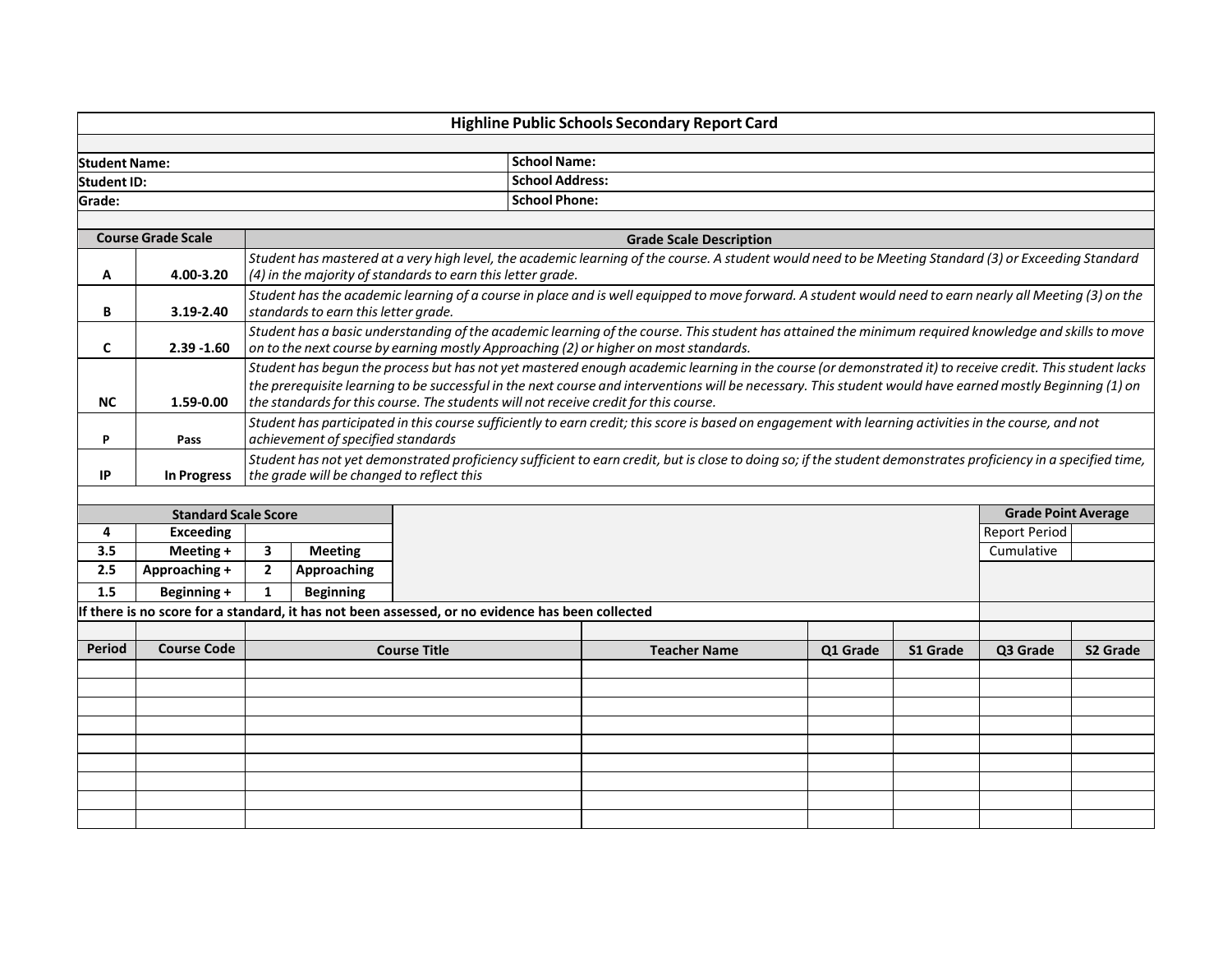| <b>Highline Public Schools Secondary Report Card</b> |                      |  |  |  |  |
|------------------------------------------------------|----------------------|--|--|--|--|
|                                                      |                      |  |  |  |  |
| <b>Student Name:</b>                                 | <b>School Name:</b>  |  |  |  |  |
| <b>Student ID:</b>                                   | School Address:      |  |  |  |  |
| Grade:                                               | <b>School Phone:</b> |  |  |  |  |
|                                                      |                      |  |  |  |  |

| <b>Course Grade Scale</b> |               | <b>Grade Scale Description</b>                                                                                                                                                                                                                                                                                                                                                                                |  |  |  |  |  |  |
|---------------------------|---------------|---------------------------------------------------------------------------------------------------------------------------------------------------------------------------------------------------------------------------------------------------------------------------------------------------------------------------------------------------------------------------------------------------------------|--|--|--|--|--|--|
| A                         | 4.00-3.20     | Student has mastered at a very high level, the academic learning of the course. A student would need to be Meeting Standard (3) or Exceeding Standard<br>(4) in the majority of standards to earn this letter grade.                                                                                                                                                                                          |  |  |  |  |  |  |
| в                         | $3.19 - 2.40$ | Student has the academic learning of a course in place and is well equipped to move forward. A student would need to earn nearly all Meeting (3) on the<br>standards to earn this letter grade.                                                                                                                                                                                                               |  |  |  |  |  |  |
|                           | $2.39 - 1.60$ | Student has a basic understanding of the academic learning of the course. This student has attained the minimum required knowledge and skills to move<br>on to the next course by earning mostly Approaching (2) or higher on most standards.                                                                                                                                                                 |  |  |  |  |  |  |
| <b>NC</b>                 | 1.59-0.00     | Student has begun the process but has not yet mastered enough academic learning in the course (or demonstrated it) to receive credit. This student lacks<br>the prerequisite learning to be successful in the next course and interventions will be necessary. This student would have earned mostly Beginning (1) on<br>the standards for this course. The students will not receive credit for this course. |  |  |  |  |  |  |
|                           | Pass          | Student has participated in this course sufficiently to earn credit; this score is based on engagement with learning activities in the course, and not<br>achievement of specified standards                                                                                                                                                                                                                  |  |  |  |  |  |  |
| IP                        | In Progress   | Student has not yet demonstrated proficiency sufficient to earn credit, but is close to doing so; if the student demonstrates proficiency in a specified time,<br>the grade will be changed to reflect this                                                                                                                                                                                                   |  |  |  |  |  |  |

| <b>Standard Scale Score</b> |                                                                                                  |                     |                  |  |                     |          |          | <b>Grade Point Average</b> |               |  |
|-----------------------------|--------------------------------------------------------------------------------------------------|---------------------|------------------|--|---------------------|----------|----------|----------------------------|---------------|--|
| 4                           | Exceeding                                                                                        |                     |                  |  |                     |          |          |                            | Report Period |  |
| 3.5                         | Meeting +                                                                                        |                     | <b>Meeting</b>   |  |                     |          |          |                            | Cumulative    |  |
| 2.5                         | Approaching +                                                                                    | $\overline{2}$      | Approaching      |  |                     |          |          |                            |               |  |
| 1.5                         | Beginning +                                                                                      |                     | <b>Beginning</b> |  |                     |          |          |                            |               |  |
|                             | If there is no score for a standard, it has not been assessed, or no evidence has been collected |                     |                  |  |                     |          |          |                            |               |  |
|                             |                                                                                                  |                     |                  |  |                     |          |          |                            |               |  |
| <b>Period</b>               | <b>Course Code</b>                                                                               | <b>Course Title</b> |                  |  | <b>Teacher Name</b> | Q1 Grade | S1 Grade | Q3 Grade                   | S2 Grade      |  |
|                             |                                                                                                  |                     |                  |  |                     |          |          |                            |               |  |
|                             |                                                                                                  |                     |                  |  |                     |          |          |                            |               |  |
|                             |                                                                                                  |                     |                  |  |                     |          |          |                            |               |  |
|                             |                                                                                                  |                     |                  |  |                     |          |          |                            |               |  |
|                             |                                                                                                  |                     |                  |  |                     |          |          |                            |               |  |
|                             |                                                                                                  |                     |                  |  |                     |          |          |                            |               |  |